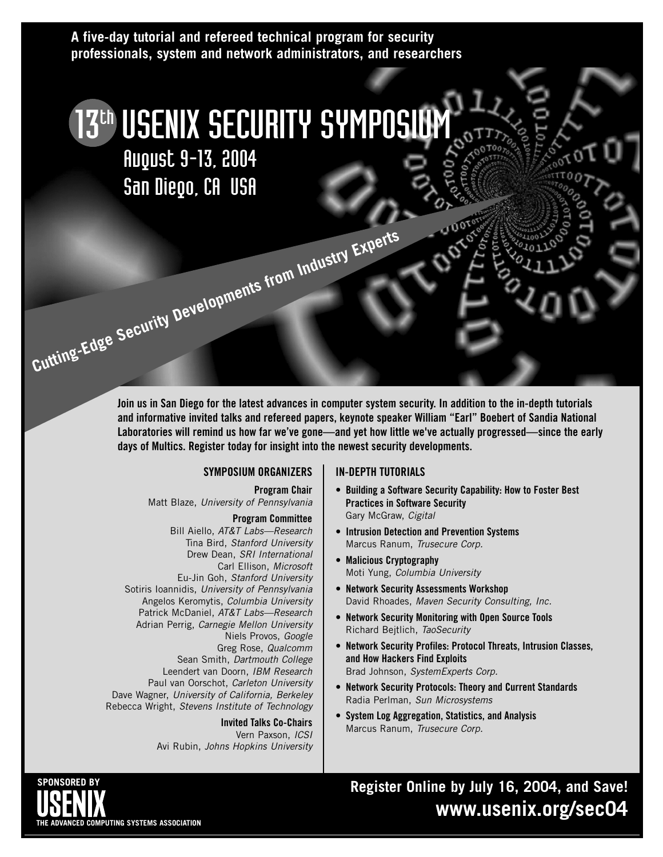#### **A five-day tutorial and refereed technical program for security professionals, system and network administrators, and researchers**

# 13<sup>th</sup> USENIX SECURITY SYMPOSIUM August 9-13, 2004

San Diego, CA USA

**Cutting-Edge Security Developments from Industry Experts** 

**Join us in San Diego for the latest advances in computer system security. In addition to the in-depth tutorials and informative invited talks and refereed papers, keynote speaker William "Earl" Boebert of Sandia National** Laboratories will remind us how far we've gone—and yet how little we've actually progressed—since the early **days of Multics. Register today for insight into the newest security developments.**

#### **SYMPOSIUM ORGANIZERS**

**Program Chair** Matt Blaze, University of Pennsylvania

#### **Program Committee**

Bill Aiello, AT&T Labs—Research Tina Bird, Stanford University Drew Dean, SRI International Carl Ellison, Microsoft Eu-Jin Goh, Stanford University Sotiris Ioannidis, University of Pennsylvania Angelos Keromytis, Columbia University Patrick McDaniel, AT&T Labs—Research Adrian Perrig, Carnegie Mellon University Niels Provos, Google Greg Rose, Qualcomm Sean Smith, Dartmouth College Leendert van Doorn, IBM Research Paul van Oorschot, Carleton University Dave Wagner, University of California, Berkeley Rebecca Wright, Stevens Institute of Technology

#### **Invited Talks Co-Chairs**

Vern Paxson, ICSI Avi Rubin, Johns Hopkins University

#### **IN-DEPTH TUTORIALS**

- **Building a Software Security Capability: How to Foster Best Practices in Software Security** Gary McGraw, Cigital
- **Intrusion Detection and Prevention Systems** Marcus Ranum, Trusecure Corp.
- **Malicious Cryptography** Moti Yung, Columbia University
- **Network Security Assessments Workshop** David Rhoades, Maven Security Consulting, Inc.
- **Network Security Monitoring with Open Source Tools** Richard Bejtlich, TaoSecurity
- **Network Security Profiles: Protocol Threats, Intrusion Classes, and How Hackers Find Exploits** Brad Johnson, SystemExperts Corp.
- **Network Security Protocols: Theory and Current Standards** Radia Perlman, Sun Microsystems
- **• System Log Aggregation, Statistics, and Analysis** Marcus Ranum, Trusecure Corp.

**Register Online by July 16, 2004, and Save! www.usenix.org/sec04**